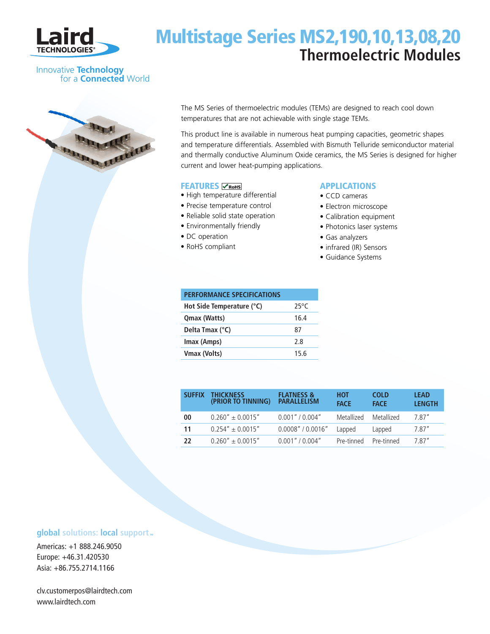

# Multistage Series MS2,190,10,13,08,20 **Thermoelectric Modules**

### Innovative **Technology** for a **Connected** World



The MS Series of thermoelectric modules (TEMs) are designed to reach cool down temperatures that are not achievable with single stage TEMs.

This product line is available in numerous heat pumping capacities, geometric shapes and temperature differentials. Assembled with Bismuth Telluride semiconductor material and thermally conductive Aluminum Oxide ceramics, the MS Series is designed for higher current and lower heat-pumping applications.

### **FEATURES** *<u>CROHS</u>*

- High temperature differential
- Precise temperature control
- Reliable solid state operation
- Environmentally friendly
- DC operation
- RoHS compliant

### APPLICATIONS

- CCD cameras
- Electron microscope
- Calibration equipment
- Photonics laser systems
- Gas analyzers
- infrared (IR) Sensors
- Guidance Systems

| <b>PERFORMANCE SPECIFICATIONS</b> |      |
|-----------------------------------|------|
| Hot Side Temperature (°C)         | 25°C |
| Qmax (Watts)                      | 164  |
| Delta Tmax (°C)                   | 87   |
| Imax (Amps)                       | 28   |
| Vmax (Volts)                      | 15 6 |

| <b>SUFFIX</b> | <b>THICKNESS</b><br>(PRIOR TO TINNING) | <b>FLATNESS &amp;</b><br><b>PARALLELISM</b> | нот<br><b>FACE</b> | <b>COLD</b><br><b>FACE</b> | <b>LEAD</b><br><b>LENGTH</b> |
|---------------|----------------------------------------|---------------------------------------------|--------------------|----------------------------|------------------------------|
| 00            | $0.260'' + 0.0015''$                   | $0.001''$ / $0.004''$                       | Metallized         | Metallized                 | 7.87"                        |
| 11            | $0.254'' + 0.0015''$                   | 0.0008" / 0.0016"                           | Lapped             | Lapped                     | 7.87"                        |
| 22            | $0.260'' + 0.0015''$                   | $0.001''$ / $0.004''$                       | Pre-tinned         | Pre-tinned                 | 787"                         |

## **global** solutions: local support ...

Americas: +1 888.246.9050 Europe: +46.31.420530 Asia: +86.755.2714.1166

clv.customerpos@lairdtech.com www.lairdtech.com